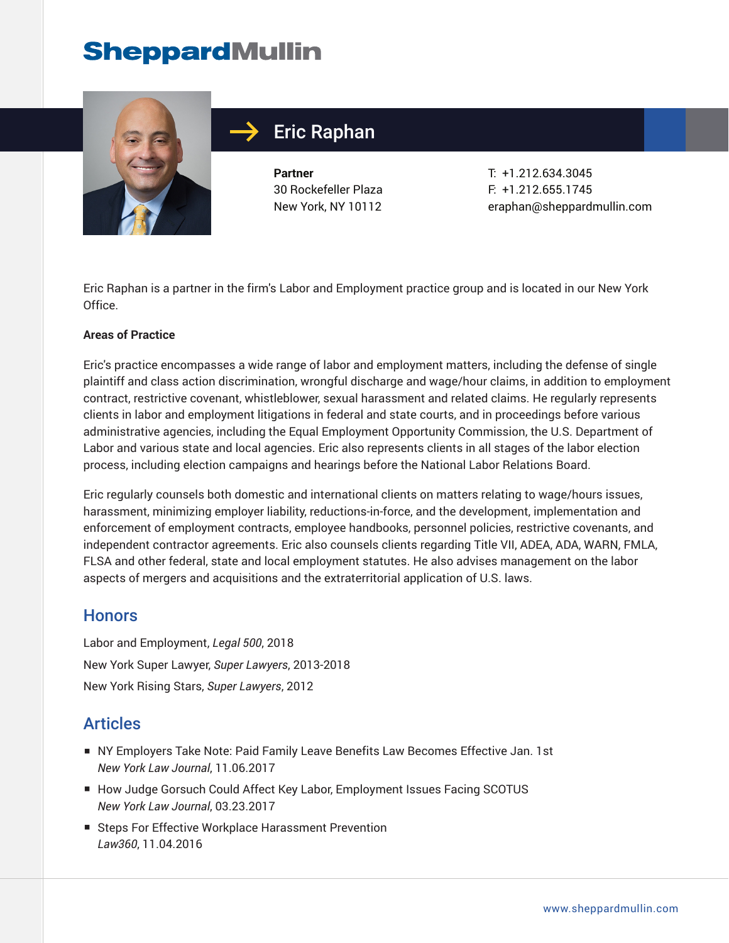

### Eric Raphan

**Partner** 30 Rockefeller Plaza New York, NY 10112 T: +1.212.634.3045 F: +1.212.655.1745 eraphan@sheppardmullin.com

Eric Raphan is a partner in the firm's Labor and Employment practice group and is located in our New York Office.

#### **Areas of Practice**

Eric's practice encompasses a wide range of labor and employment matters, including the defense of single plaintiff and class action discrimination, wrongful discharge and wage/hour claims, in addition to employment contract, restrictive covenant, whistleblower, sexual harassment and related claims. He regularly represents clients in labor and employment litigations in federal and state courts, and in proceedings before various administrative agencies, including the Equal Employment Opportunity Commission, the U.S. Department of Labor and various state and local agencies. Eric also represents clients in all stages of the labor election process, including election campaigns and hearings before the National Labor Relations Board.

Eric regularly counsels both domestic and international clients on matters relating to wage/hours issues, harassment, minimizing employer liability, reductions-in-force, and the development, implementation and enforcement of employment contracts, employee handbooks, personnel policies, restrictive covenants, and independent contractor agreements. Eric also counsels clients regarding Title VII, ADEA, ADA, WARN, FMLA, FLSA and other federal, state and local employment statutes. He also advises management on the labor aspects of mergers and acquisitions and the extraterritorial application of U.S. laws.

#### **Honors**

Labor and Employment, *Legal 500*, 2018 New York Super Lawyer, *Super Lawyers*, 2013-2018 New York Rising Stars, *Super Lawyers*, 2012

#### **Articles**

- NY Employers Take Note: Paid Family Leave Benefits Law Becomes Effective Jan. 1st *New York Law Journal*, 11.06.2017
- How Judge Gorsuch Could Affect Key Labor, Employment Issues Facing SCOTUS *New York Law Journal*, 03.23.2017
- Steps For Effective Workplace Harassment Prevention *Law360*, 11.04.2016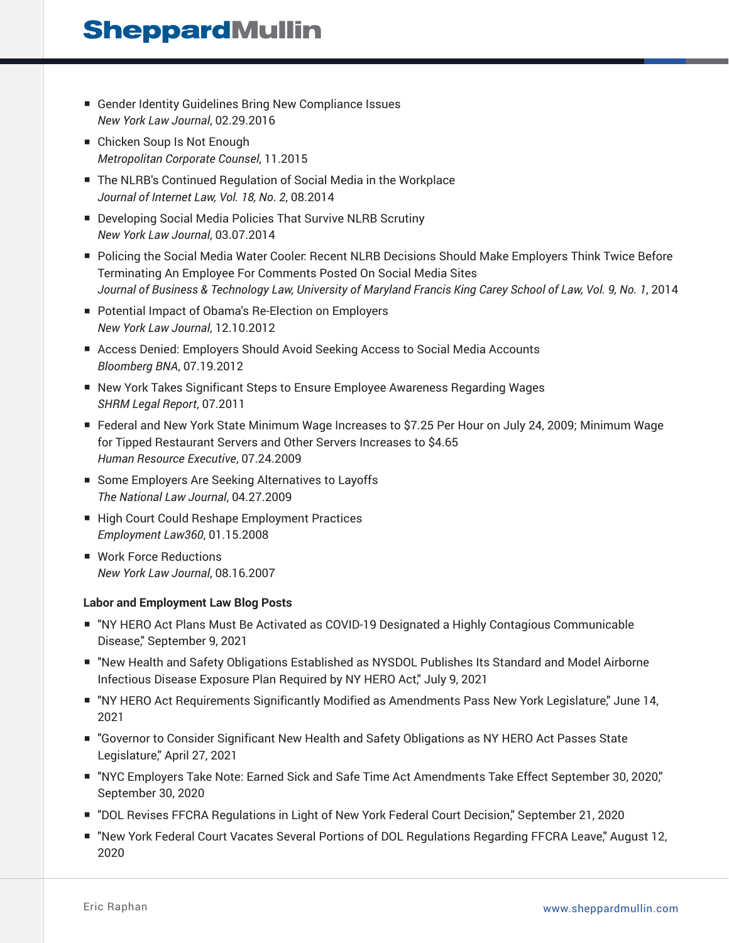- Gender Identity Guidelines Bring New Compliance Issues *New York Law Journal*, 02.29.2016
- Chicken Soup Is Not Enough *Metropolitan Corporate Counsel*, 11.2015
- The NLRB's Continued Regulation of Social Media in the Workplace *Journal of Internet Law, Vol. 18, No. 2*, 08.2014
- Developing Social Media Policies That Survive NLRB Scrutiny *New York Law Journal*, 03.07.2014
- Policing the Social Media Water Cooler: Recent NLRB Decisions Should Make Employers Think Twice Before Terminating An Employee For Comments Posted On Social Media Sites *Journal of Business & Technology Law, University of Maryland Francis King Carey School of Law, Vol. 9, No. 1*, 2014
- Potential Impact of Obama's Re-Election on Employers *New York Law Journal*, 12.10.2012
- Access Denied: Employers Should Avoid Seeking Access to Social Media Accounts *Bloomberg BNA*, 07.19.2012
- New York Takes Significant Steps to Ensure Employee Awareness Regarding Wages *SHRM Legal Report*, 07.2011
- Federal and New York State Minimum Wage Increases to \$7.25 Per Hour on July 24, 2009; Minimum Wage for Tipped Restaurant Servers and Other Servers Increases to \$4.65 *Human Resource Executive*, 07.24.2009
- Some Employers Are Seeking Alternatives to Layoffs *The National Law Journal*, 04.27.2009
- High Court Could Reshape Employment Practices *Employment Law360*, 01.15.2008
- Work Force Reductions *New York Law Journal*, 08.16.2007

#### **Labor and Employment Law Blog Posts**

- "NY HERO Act Plans Must Be Activated as COVID-19 Designated a Highly Contagious Communicable Disease," September 9, 2021
- "New Health and Safety Obligations Established as NYSDOL Publishes Its Standard and Model Airborne Infectious Disease Exposure Plan Required by NY HERO Act," July 9, 2021
- "NY HERO Act Requirements Significantly Modified as Amendments Pass New York Legislature," June 14, 2021
- "Governor to Consider Significant New Health and Safety Obligations as NY HERO Act Passes State Legislature," April 27, 2021
- "NYC Employers Take Note: Earned Sick and Safe Time Act Amendments Take Effect September 30, 2020," September 30, 2020
- "DOL Revises FFCRA Regulations in Light of New York Federal Court Decision," September 21, 2020
- "New York Federal Court Vacates Several Portions of DOL Regulations Regarding FFCRA Leave," August 12, 2020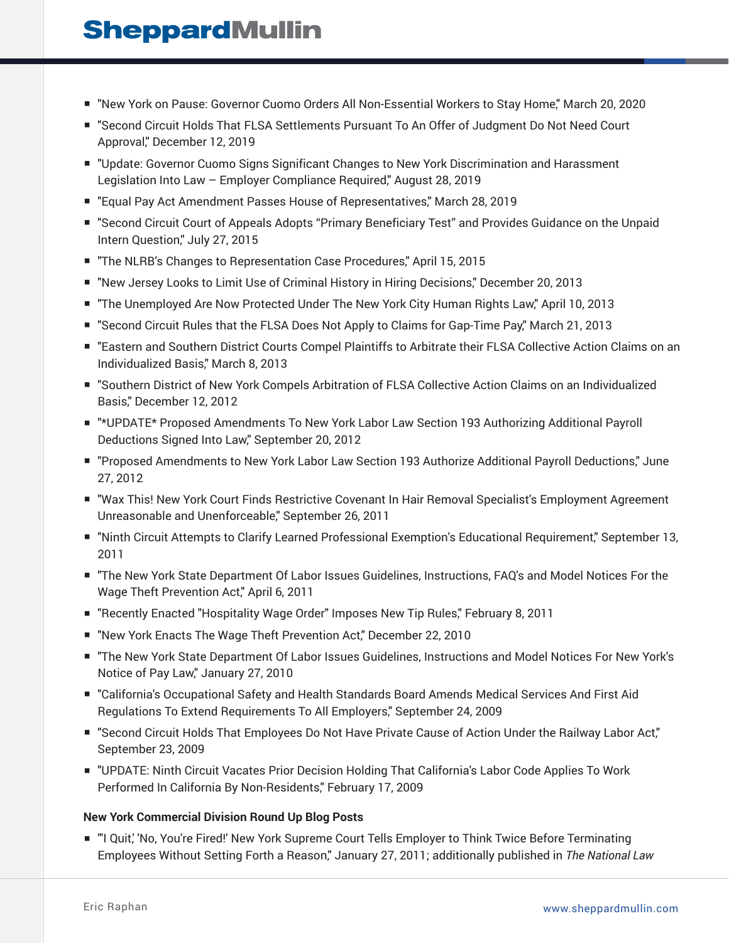- "New York on Pause: Governor Cuomo Orders All Non-Essential Workers to Stay Home," March 20, 2020
- "Second Circuit Holds That FLSA Settlements Pursuant To An Offer of Judgment Do Not Need Court Approval," December 12, 2019
- "Update: Governor Cuomo Signs Significant Changes to New York Discrimination and Harassment Legislation Into Law – Employer Compliance Required," August 28, 2019
- "Equal Pay Act Amendment Passes House of Representatives," March 28, 2019
- "Second Circuit Court of Appeals Adopts "Primary Beneficiary Test" and Provides Guidance on the Unpaid Intern Question," July 27, 2015
- "The NLRB's Changes to Representation Case Procedures," April 15, 2015
- "New Jersey Looks to Limit Use of Criminal History in Hiring Decisions," December 20, 2013
- "The Unemployed Are Now Protected Under The New York City Human Rights Law," April 10, 2013
- "Second Circuit Rules that the FLSA Does Not Apply to Claims for Gap-Time Pay," March 21, 2013
- "Eastern and Southern District Courts Compel Plaintiffs to Arbitrate their FLSA Collective Action Claims on an Individualized Basis," March 8, 2013
- "Southern District of New York Compels Arbitration of FLSA Collective Action Claims on an Individualized Basis," December 12, 2012
- "\*UPDATE\* Proposed Amendments To New York Labor Law Section 193 Authorizing Additional Payroll Deductions Signed Into Law," September 20, 2012
- "Proposed Amendments to New York Labor Law Section 193 Authorize Additional Payroll Deductions," June 27, 2012
- "Wax This! New York Court Finds Restrictive Covenant In Hair Removal Specialist's Employment Agreement Unreasonable and Unenforceable," September 26, 2011
- "Ninth Circuit Attempts to Clarify Learned Professional Exemption's Educational Requirement," September 13, 2011
- "The New York State Department Of Labor Issues Guidelines, Instructions, FAQ's and Model Notices For the Wage Theft Prevention Act," April 6, 2011
- "Recently Enacted "Hospitality Wage Order" Imposes New Tip Rules," February 8, 2011
- "New York Enacts The Wage Theft Prevention Act," December 22, 2010
- "The New York State Department Of Labor Issues Guidelines, Instructions and Model Notices For New York's Notice of Pay Law," January 27, 2010
- "California's Occupational Safety and Health Standards Board Amends Medical Services And First Aid Regulations To Extend Requirements To All Employers," September 24, 2009
- "Second Circuit Holds That Employees Do Not Have Private Cause of Action Under the Railway Labor Act," September 23, 2009
- "UPDATE: Ninth Circuit Vacates Prior Decision Holding That California's Labor Code Applies To Work Performed In California By Non-Residents," February 17, 2009

#### **New York Commercial Division Round Up Blog Posts**

■ "I Quit,' No, You're Fired!' New York Supreme Court Tells Employer to Think Twice Before Terminating Employees Without Setting Forth a Reason," January 27, 2011; additionally published in *The National Law*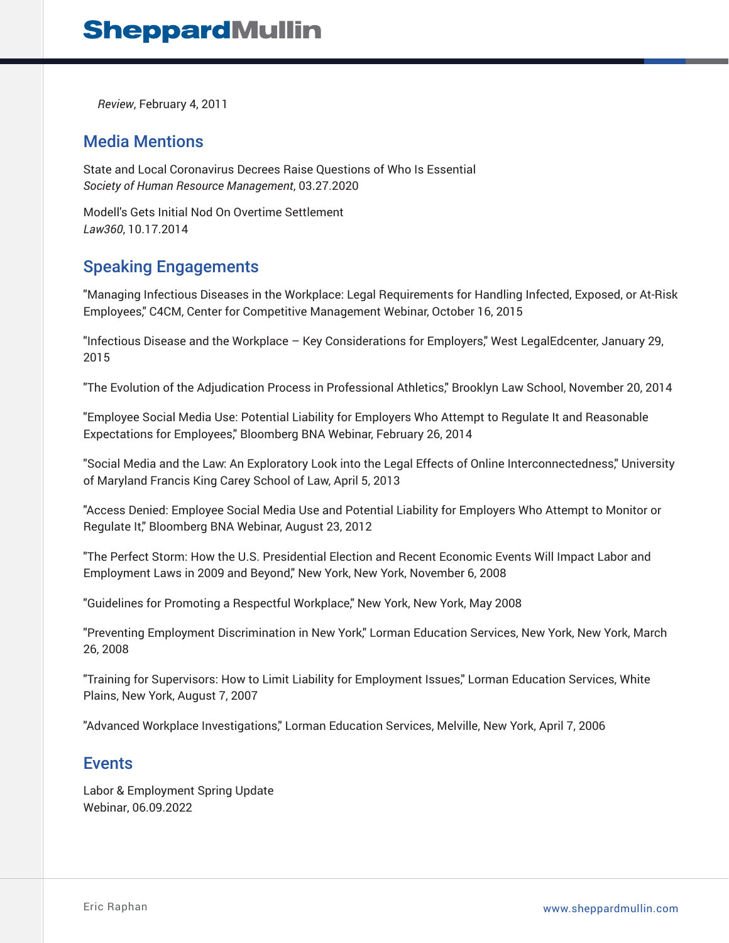*Review*, February 4, 2011

#### Media Mentions

State and Local Coronavirus Decrees Raise Questions of Who Is Essential *Society of Human Resource Management*, 03.27.2020

Modell's Gets Initial Nod On Overtime Settlement *Law360*, 10.17.2014

### Speaking Engagements

"Managing Infectious Diseases in the Workplace: Legal Requirements for Handling Infected, Exposed, or At-Risk Employees," C4CM, Center for Competitive Management Webinar, October 16, 2015

"Infectious Disease and the Workplace – Key Considerations for Employers," West LegalEdcenter, January 29, 2015

"The Evolution of the Adjudication Process in Professional Athletics," Brooklyn Law School, November 20, 2014

"Employee Social Media Use: Potential Liability for Employers Who Attempt to Regulate It and Reasonable Expectations for Employees," Bloomberg BNA Webinar, February 26, 2014

"Social Media and the Law: An Exploratory Look into the Legal Effects of Online Interconnectedness," University of Maryland Francis King Carey School of Law, April 5, 2013

"Access Denied: Employee Social Media Use and Potential Liability for Employers Who Attempt to Monitor or Regulate It," Bloomberg BNA Webinar, August 23, 2012

"The Perfect Storm: How the U.S. Presidential Election and Recent Economic Events Will Impact Labor and Employment Laws in 2009 and Beyond," New York, New York, November 6, 2008

"Guidelines for Promoting a Respectful Workplace," New York, New York, May 2008

"Preventing Employment Discrimination in New York," Lorman Education Services, New York, New York, March 26, 2008

"Training for Supervisors: How to Limit Liability for Employment Issues," Lorman Education Services, White Plains, New York, August 7, 2007

"Advanced Workplace Investigations," Lorman Education Services, Melville, New York, April 7, 2006

#### Events

Labor & Employment Spring Update Webinar, 06.09.2022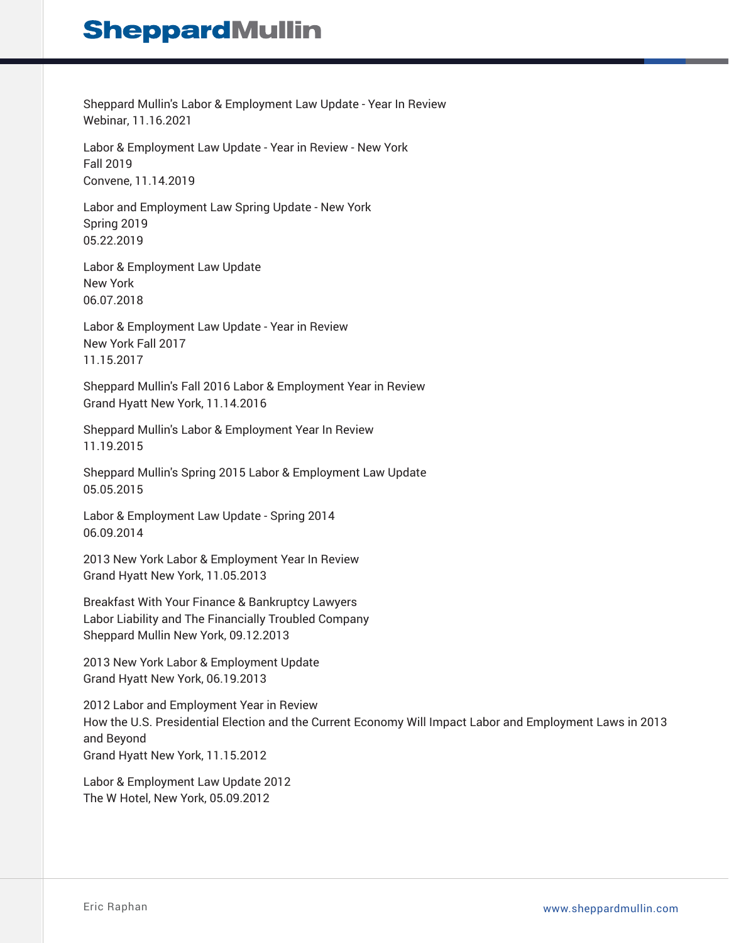Sheppard Mullin's Labor & Employment Law Update - Year In Review Webinar, 11.16.2021

Labor & Employment Law Update - Year in Review - New York Fall 2019 Convene, 11.14.2019

Labor and Employment Law Spring Update - New York Spring 2019 05.22.2019

Labor & Employment Law Update New York 06.07.2018

Labor & Employment Law Update - Year in Review New York Fall 2017 11.15.2017

Sheppard Mullin's Fall 2016 Labor & Employment Year in Review Grand Hyatt New York, 11.14.2016

Sheppard Mullin's Labor & Employment Year In Review 11.19.2015

Sheppard Mullin's Spring 2015 Labor & Employment Law Update 05.05.2015

Labor & Employment Law Update - Spring 2014 06.09.2014

2013 New York Labor & Employment Year In Review Grand Hyatt New York, 11.05.2013

Breakfast With Your Finance & Bankruptcy Lawyers Labor Liability and The Financially Troubled Company Sheppard Mullin New York, 09.12.2013

2013 New York Labor & Employment Update Grand Hyatt New York, 06.19.2013

2012 Labor and Employment Year in Review How the U.S. Presidential Election and the Current Economy Will Impact Labor and Employment Laws in 2013 and Beyond Grand Hyatt New York, 11.15.2012

Labor & Employment Law Update 2012 The W Hotel, New York, 05.09.2012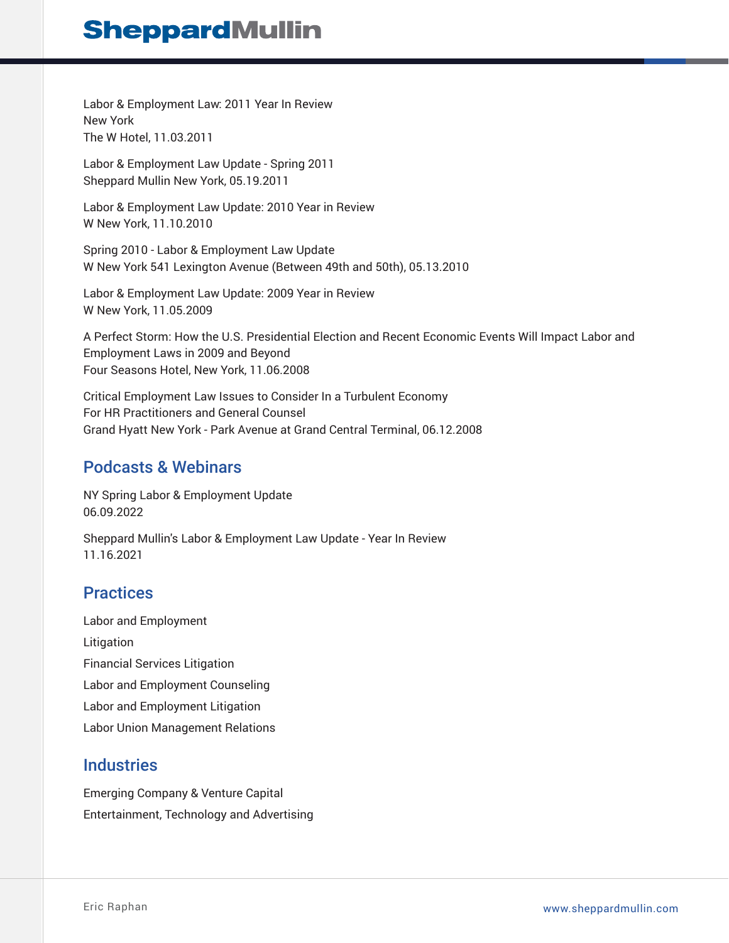Labor & Employment Law: 2011 Year In Review New York The W Hotel, 11.03.2011

Labor & Employment Law Update - Spring 2011 Sheppard Mullin New York, 05.19.2011

Labor & Employment Law Update: 2010 Year in Review W New York, 11.10.2010

Spring 2010 - Labor & Employment Law Update W New York 541 Lexington Avenue (Between 49th and 50th), 05.13.2010

Labor & Employment Law Update: 2009 Year in Review W New York, 11.05.2009

A Perfect Storm: How the U.S. Presidential Election and Recent Economic Events Will Impact Labor and Employment Laws in 2009 and Beyond Four Seasons Hotel, New York, 11.06.2008

Critical Employment Law Issues to Consider In a Turbulent Economy For HR Practitioners and General Counsel Grand Hyatt New York - Park Avenue at Grand Central Terminal, 06.12.2008

### Podcasts & Webinars

NY Spring Labor & Employment Update 06.09.2022

Sheppard Mullin's Labor & Employment Law Update - Year In Review 11.16.2021

### **Practices**

Labor and Employment Litigation Financial Services Litigation Labor and Employment Counseling Labor and Employment Litigation Labor Union Management Relations

### **Industries**

Emerging Company & Venture Capital Entertainment, Technology and Advertising